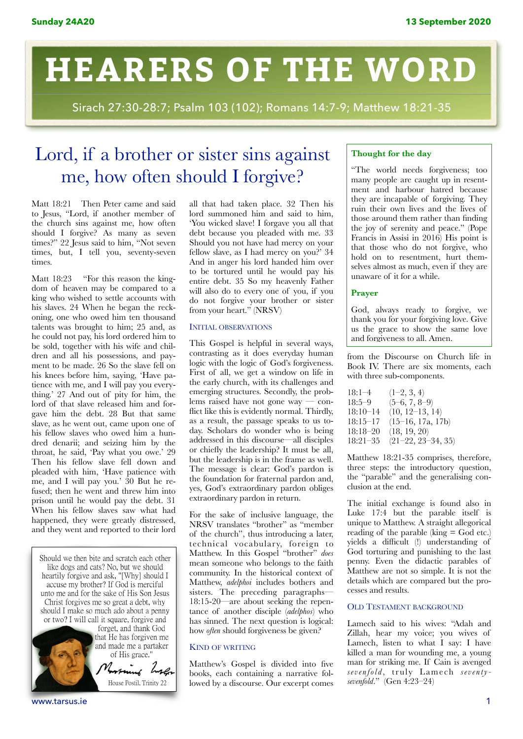# **HEARERS OF THE WORD**

Sirach 27:30-28:7; Psalm 103 (102); Romans 14:7-9; Matthew 18:21-35

# Lord, if a brother or sister sins against me, how often should I forgive?

Matt 18:21 Then Peter came and said to Jesus, "Lord, if another member of the church sins against me, how often should I forgive? As many as seven times?" 22 Jesus said to him, "Not seven times, but, I tell you, seventy-seven times.

Matt 18:23 "For this reason the kingdom of heaven may be compared to a king who wished to settle accounts with his slaves. 24 When he began the reckoning, one who owed him ten thousand talents was brought to him; 25 and, as he could not pay, his lord ordered him to be sold, together with his wife and children and all his possessions, and payment to be made. 26 So the slave fell on his knees before him, saying, 'Have patience with me, and I will pay you everything.' 27 And out of pity for him, the lord of that slave released him and forgave him the debt. 28 But that same slave, as he went out, came upon one of his fellow slaves who owed him a hundred denarii; and seizing him by the throat, he said, 'Pay what you owe.' 29 Then his fellow slave fell down and pleaded with him, 'Have patience with me, and I will pay you.' 30 But he refused; then he went and threw him into prison until he would pay the debt. 31 When his fellow slaves saw what had happened, they were greatly distressed, and they went and reported to their lord

Should we then bite and scratch each other like dogs and cats? No, but we should The dogs and case too, but we should<br>heartily forgive and ask, "[Why] should I<br>accuse my brother? If God is merciful unto me and for the sake of His Son Jesus Christ forgives me so great a debt, why should I make so much ado about a penny or two? I will call it square, forgive and



forget, and thank God that He has forgiven me and made me a partaker of His grace."

House Postil, Trinity 22

all that had taken place. 32 Then his lord summoned him and said to him, 'You wicked slave! I forgave you all that debt because you pleaded with me. 33 Should you not have had mercy on your fellow slave, as I had mercy on you?' 34 And in anger his lord handed him over to be tortured until he would pay his entire debt. 35 So my heavenly Father will also do to every one of you, if you do not forgive your brother or sister from your heart." (NRSV)

# INITIAL OBSERVATIONS

This Gospel is helpful in several ways, contrasting as it does everyday human logic with the logic of God's forgiveness. First of all, we get a window on life in the early church, with its challenges and emerging structures. Secondly, the problems raised have not gone way — conflict like this is evidently normal. Thirdly, as a result, the passage speaks to us today. Scholars do wonder who is being addressed in this discourse—all disciples or chiefly the leadership? It must be all, but the leadership is in the frame as well. The message is clear: God's pardon is the foundation for fraternal pardon and, yes, God's extraordinary pardon obliges extraordinary pardon in return.

For the sake of inclusive language, the NRSV translates "brother" as "member of the church", thus introducing a later, technical vocabulary, foreign to Matthew. In this Gospel "brother" *does* mean someone who belongs to the faith community. In the historical context of Matthew, *adelphoi* includes bothers and sisters. The preceding paragraphs— 18:15-20—are about seeking the repentance of another disciple (*adelphos*) who has sinned. The next question is logical: how *often* should forgiveness be given?

# KIND OF WRITING

Matthew's Gospel is divided into five books, each containing a narrative followed by a discourse. Our excerpt comes

# **Thought for the day**

"The world needs forgiveness; too many people are caught up in resentment and harbour hatred because they are incapable of forgiving. They ruin their own lives and the lives of those around them rather than finding the joy of serenity and peace." (Pope Francis in Assisi in 2016) His point is that those who do not forgive, who hold on to resentment, hurt themselves almost as much, even if they are unaware of it for a while.

# **Prayer**

God, always ready to forgive, we thank you for your forgiving love. Give us the grace to show the same love and forgiveness to all. Amen.

from the Discourse on Church life in Book IV. There are six moments, each with three sub-components.

| $18:1 - 4$   | $(1-2, 3, 4)$        |
|--------------|----------------------|
| $18:5-9$     | $(5-6, 7, 8-9)$      |
| $18:10-14$   | $(10, 12-13, 14)$    |
| $18:15 - 17$ | (15–16, 17a, 17b)    |
| $18:18 - 20$ | (18, 19, 20)         |
| $18:21 - 35$ | $(21-22, 23-34, 35)$ |

Matthew 18:21-35 comprises, therefore, three steps: the introductory question, the "parable" and the generalising conclusion at the end.

The initial exchange is found also in Luke 17:4 but the parable itself is unique to Matthew. A straight allegorical reading of the parable  $(king = God etc.)$ yields a difficult (!) understanding of God torturing and punishing to the last penny. Even the didactic parables of Matthew are not so simple. It is not the details which are compared but the processes and results.

# OLD TESTAMENT BACKGROUND

Lamech said to his wives: "Adah and Zillah, hear my voice; you wives of Lamech, listen to what I say: I have killed a man for wounding me, a young man for striking me. If Cain is avenged *sevenfold* , truly Lamech *seventysevenfold*." (Gen 4:23–24)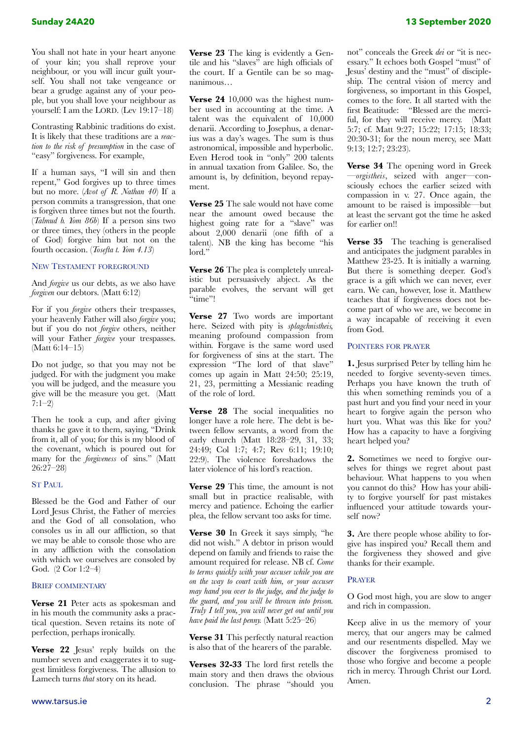You shall not hate in your heart anyone of your kin; you shall reprove your neighbour, or you will incur guilt yourself. You shall not take vengeance or bear a grudge against any of your people, but you shall love your neighbour as yourself: I am the LORD. (Lev 19:17–18)

Contrasting Rabbinic traditions do exist. It is likely that these traditions are a *reaction to the risk of presumption* in the case of "easy" forgiveness. For example,

If a human says, "I will sin and then repent," God forgives up to three times but no more. (*Avot of R. Nathan 40*) If a person commits a transgression, that one is forgiven three times but not the fourth. (*Talmud b. Yom 86b*) If a person sins two or three times, they (others in the people of God) forgive him but not on the fourth occasion. (*Tosefta t. Yom 4.13*)

# NEW TESTAMENT FOREGROUND

And *forgive* us our debts, as we also have *forgiven* our debtors. (Matt 6:12)

For if you *forgive* others their trespasses, your heavenly Father will also *forgive* you; but if you do not *forgive* others, neither will your Father *forgive* your trespasses. (Matt 6:14–15)

Do not judge, so that you may not be judged. For with the judgment you make you will be judged, and the measure you give will be the measure you get. (Matt  $7:1-2)$ 

Then he took a cup, and after giving thanks he gave it to them, saying, "Drink from it, all of you; for this is my blood of the covenant, which is poured out for many for the *forgiveness* of sins." (Matt 26:27–28)

#### ST PAUL

Blessed be the God and Father of our Lord Jesus Christ, the Father of mercies and the God of all consolation, who consoles us in all our affliction, so that we may be able to console those who are in any affliction with the consolation with which we ourselves are consoled by God. (2 Cor 1:2–4)

#### BRIEF COMMENTARY

**Verse 21** Peter acts as spokesman and in his mouth the community asks a practical question. Seven retains its note of perfection, perhaps ironically.

**Verse 22** Jesus' reply builds on the number seven and exaggerates it to suggest limitless forgiveness. The allusion to Lamech turns *that* story on its head.

**Verse 23** The king is evidently a Gentile and his "slaves" are high officials of the court. If a Gentile can be so magnanimous…

**Verse 24** 10,000 was the highest number used in accounting at the time. A talent was the equivalent of 10,000 denarii. According to Josephus, a denarius was a day's wages. The sum is thus astronomical, impossible and hyperbolic. Even Herod took in "only" 200 talents in annual taxation from Galilee. So, the amount is, by definition, beyond repayment.

**Verse 25** The sale would not have come near the amount owed because the highest going rate for a "slave" was about 2,000 denarii (one fifth of a talent). NB the king has become "his lord."

**Verse 26** The plea is completely unrealistic but persuasively abject. As the parable evolves, the servant will get "time"!

**Verse 27** Two words are important here. Seized with pity is *splagchnistheis,*  meaning profound compassion from within*.* Forgave is the same word used for forgiveness of sins at the start. The expression "The lord of that slave" comes up again in Matt 24:50; 25:19, 21, 23, permitting a Messianic reading of the role of lord.

**Verse 28** The social inequalities no longer have a role here. The debt is between fellow servants, a word from the early church (Matt 18:28–29, 31, 33; 24:49; Col 1:7; 4:7; Rev 6:11; 19:10; 22:9). The violence foreshadows the later violence of his lord's reaction.

**Verse 29** This time, the amount is not small but in practice realisable, with mercy and patience. Echoing the earlier plea, the fellow servant too asks for time.

**Verse 30** In Greek it says simply, "he did not wish." A debtor in prison would depend on family and friends to raise the amount required for release. NB cf. *Come to terms quickly with your accuser while you are on the way to court with him, or your accuser may hand you over to the judge, and the judge to the guard, and you will be thrown into prison. Truly I tell you, you will never get out until you have paid the last penny.* (Matt 5:25–26)

**Verse 31** This perfectly natural reaction is also that of the hearers of the parable.

**Verses 32-33** The lord first retells the main story and then draws the obvious conclusion. The phrase "should you

not" conceals the Greek *dei* or "it is necessary." It echoes both Gospel "must" of Jesus' destiny and the "must" of discipleship. The central vision of mercy and forgiveness, so important in this Gospel, comes to the fore. It all started with the first Beatitude: "Blessed are the merciful, for they will receive mercy. (Matt 5:7; cf. Matt 9:27; 15:22; 17:15; 18:33; 20:30-31; for the noun mercy, see Matt 9:13; 12:7; 23:23).

**Verse 34** The opening word in Greek —*orgistheis*, seized with anger—consciously echoes the earlier seized with compassion in v. 27. Once again, the amount to be raised is impossible—but at least the servant got the time he asked for earlier on!!

**Verse 35** The teaching is generalised and anticipates the judgment parables in Matthew 23-25. It is initially a warning. But there is something deeper. God's grace is a gift which we can never, ever earn. We can, however, lose it. Matthew teaches that if forgiveness does not become part of who we are, we become in a way incapable of receiving it even from God.

# POINTERS FOR PRAYER

**1.** Jesus surprised Peter by telling him he needed to forgive seventy-seven times. Perhaps you have known the truth of this when something reminds you of a past hurt and you find your need in your heart to forgive again the person who hurt you. What was this like for you? How has a capacity to have a forgiving heart helped you?

**2.** Sometimes we need to forgive ourselves for things we regret about past behaviour. What happens to you when you cannot do this? How has your ability to forgive yourself for past mistakes influenced your attitude towards yourself now?

**3.** Are there people whose ability to forgive has inspired you? Recall them and the forgiveness they showed and give thanks for their example.

#### PRAYER

O God most high, you are slow to anger and rich in compassion.

Keep alive in us the memory of your mercy, that our angers may be calmed and our resentments dispelled. May we discover the forgiveness promised to those who forgive and become a people rich in mercy. Through Christ our Lord. Amen.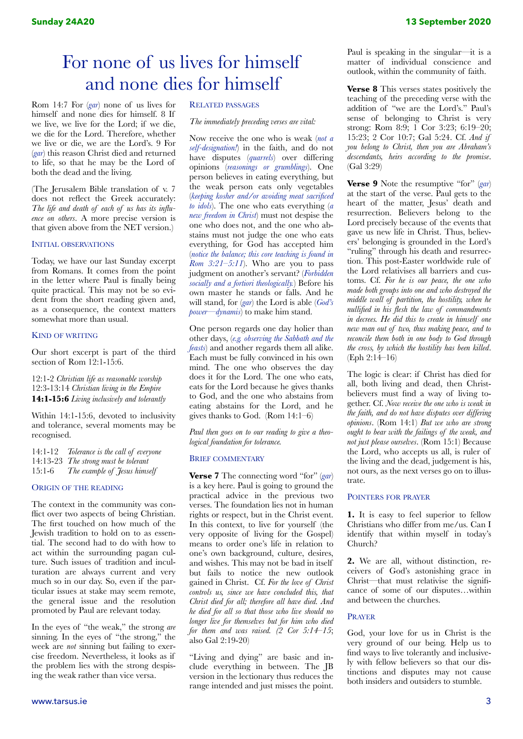# For none of us lives for himself and none dies for himself

Rom 14:7 For (*gar*) none of us lives for himself and none dies for himself. 8 If we live, we live for the Lord; if we die, we die for the Lord. Therefore, whether we live or die, we are the Lord's. 9 For (*gar*) this reason Christ died and returned to life, so that he may be the Lord of both the dead and the living.

(The Jerusalem Bible translation of v. 7 does not reflect the Greek accurately: *The life and death of each of us has its influence on others*. A more precise version is that given above from the NET version.)

# INITIAL OBSERVATIONS

Today, we have our last Sunday excerpt from Romans. It comes from the point in the letter where Paul is finally being quite practical. This may not be so evident from the short reading given and, as a consequence, the context matters somewhat more than usual.

#### KIND OF WRITING

Our short excerpt is part of the third section of Rom 12:1-15:6.

12:1-2 *Christian life as reasonable worship*  12:3-13:14 *Christian living in the Empire* **14:1-15:6** *Living inclusively and tolerantly*

Within 14:1-15:6, devoted to inclusivity and tolerance, several moments may be recognised.

14:1-12 *Tolerance is the call of everyone* 14:13-23 *The strong must be tolerant* 15:1-6 *The example of Jesus himself*

#### ORIGIN OF THE READING

The context in the community was conflict over two aspects of being Christian. The first touched on how much of the Jewish tradition to hold on to as essential. The second had to do with how to act within the surrounding pagan culture. Such issues of tradition and inculturation are always current and very much so in our day. So, even if the particular issues at stake may seem remote, the general issue and the resolution promoted by Paul are relevant today.

In the eyes of "the weak," the strong *are* sinning. In the eyes of "the strong," the week are *not* sinning but failing to exercise freedom. Nevertheless, it looks as if the problem lies with the strong despising the weak rather than vice versa.

#### RELATED PASSAGES

*The immediately preceding verses are vital:* 

Now receive the one who is weak (*not a self-designation!*) in the faith, and do not have disputes (*quarrels*) over differing opinions (*reasonings or grumblings*). One person believes in eating everything, but the weak person eats only vegetables (*keeping kosher and/or avoiding meat sacrificed to idols*). The one who eats everything (*a new freedom in Christ*) must not despise the one who does not, and the one who abstains must not judge the one who eats everything, for God has accepted him (*notice the balance; this core teaching is found in Rom 3:21–5:11*). Who are you to pass judgment on another's servant? (*Forbidden socially and a fortiori theologically.*) Before his own master he stands or falls. And he will stand, for (*gar*) the Lord is able (*God's power—dynamis*) to make him stand.

One person regards one day holier than other days, (*e.g. observing the Sabbath and the feasts*) and another regards them all alike. Each must be fully convinced in his own mind. The one who observes the day does it for the Lord. The one who eats, eats for the Lord because he gives thanks to God, and the one who abstains from eating abstains for the Lord, and he gives thanks to God. (Rom 14:1–6)

*Paul then goes on to our reading to give a theological foundation for tolerance.* 

#### BRIEF COMMENTARY

**Verse 7** The connecting word "for" (*gar*) is a key here. Paul is going to ground the practical advice in the previous two verses. The foundation lies not in human rights or respect, but in the Christ event. In this context, to live for yourself (the very opposite of living for the Gospel) means to order one's life in relation to one's own background, culture, desires, and wishes. This may not be bad in itself but fails to notice the new outlook gained in Christ. Cf. *For the love of Christ controls us, since we have concluded this, that Christ died for all; therefore all have died. And he died for all so that those who live should no longer live for themselves but for him who died for them and was raised. (2 Cor 5:14–15*; also Gal 2:19-20)

"Living and dying" are basic and include everything in between. The JB version in the lectionary thus reduces the range intended and just misses the point. Paul is speaking in the singular—it is a matter of individual conscience and outlook, within the community of faith.

**Verse 8** This verses states positively the teaching of the preceding verse with the addition of "we are the Lord's." Paul's sense of belonging to Christ is very strong: Rom 8:9; 1 Cor 3:23; 6:19–20; 15:23; 2 Cor 10:7; Gal 5:24. Cf. *And if you belong to Christ, then you are Abraham's descendants, heirs according to the promise*. (Gal 3:29)

**Verse 9** Note the resumptive "for" (*gar*) at the start of the verse. Paul gets to the heart of the matter, Jesus' death and resurrection. Believers belong to the Lord precisely because of the events that gave us new life in Christ. Thus, believers' belonging is grounded in the Lord's "ruling" through his death and resurrection. This post-Easter worldwide rule of the Lord relativises all barriers and customs. Cf. *For he is our peace, the one who made both groups into one and who destroyed the middle wall of partition, the hostility, when he nullified in his flesh the law of commandments in decrees. He did this to create in himself one new man out of two, thus making peace, and to reconcile them both in one body to God through the cross, by which the hostility has been killed*. (Eph 2:14–16)

The logic is clear: if Christ has died for all, both living and dead, then Christbelievers must find a way of living together. Cf. *Now receive the one who is weak in the faith, and do not have disputes over differing opinions*. (Rom 14:1) *But we who are strong ought to bear with the failings of the weak, and not just please ourselves*. (Rom 15:1) Because the Lord, who accepts us all, is ruler of the living and the dead, judgement is his, not ours, as the next verses go on to illustrate.

#### POINTERS FOR PRAYER

**1.** It is easy to feel superior to fellow Christians who differ from me/us. Can I identify that within myself in today's Church?

**2.** We are all, without distinction, receivers of God's astonishing grace in Christ—that must relativise the significance of some of our disputes…within and between the churches.

#### PRAYER

God, your love for us in Christ is the very ground of our being. Help us to find ways to live tolerantly and inclusively with fellow believers so that our distinctions and disputes may not cause both insiders and outsiders to stumble.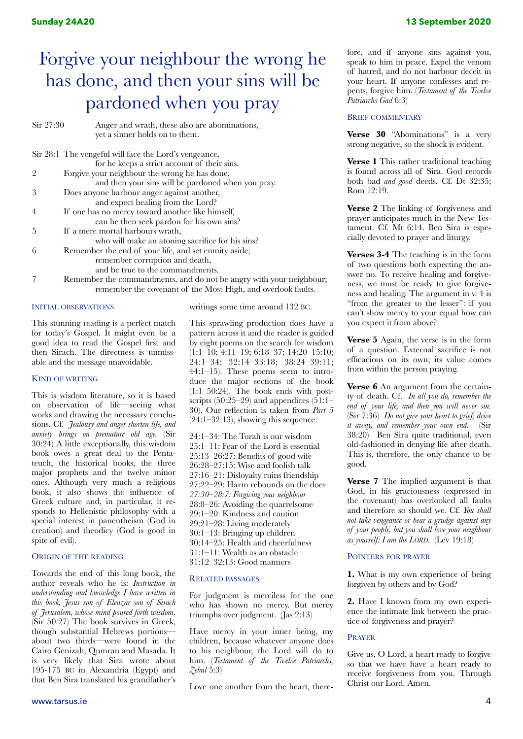# Forgive your neighbour the wrong he has done, and then your sins will be pardoned when you pray

| Sir 27:30 | Anger and wrath, these also are abominations,           |
|-----------|---------------------------------------------------------|
|           | yet a sinner holds on to them.                          |
|           | Sir 28:1 The vengeful will face the Lord's vengeance,   |
|           | for he keeps a strict account of their sins.            |
| 2         | Forgive your neighbour the wrong he has done,           |
|           | and then your sins will be pardoned when you pray.      |
| 3         | Does anyone harbour anger against another,              |
|           | and expect healing from the Lord?                       |
| 4         | If one has no mercy toward another like himself,        |
|           | can he then seek pardon for his own sins?               |
| 5         | If a mere mortal harbours wrath,                        |
|           | who will make an atoning sacrifice for his sins?        |
| 6         | Remember the end of your life, and set enmity aside;    |
|           | remember corruption and death,                          |
|           | and be true to the commandments.                        |
|           | Remember the commandments, and do not be angry with you |

our neighbour; remember the covenant of the Most High, and overlook faults.

# INITIAL OBSERVATIONS

This stunning reading is a perfect match for today's Gospel. It might even be a good idea to read the Gospel first and then Sirach. The directness is unmissable and the message unavoidable.

#### KIND OF WRITING

This is wisdom literature, so it is based on observation of life—seeing what works and drawing the necessary conclusions. Cf. *Jealousy and anger shorten life, and anxiety brings on premature old age.* (Sir 30:24) A little exceptionally, this wisdom book owes a great deal to the Pentateuch, the historical books, the three major prophets and the twelve minor ones. Although very much a religious book, it also shows the influence of Greek culture and, in particular, it responds to Hellenistic philosophy with a special interest in panentheism (God in creation) and theodicy (God is good in spite of evil).

# ORIGIN OF THE READING

Towards the end of this long book, the author reveals who he is: *Instruction in understanding and knowledge I have written in this book, Jesus son of Eleazar son of Sirach of Jerusalem, whose mind poured forth wisdom*. (Sir 50:27) The book survives in Greek, though substantial Hebrews portions about two thirds—were found in the Cairo Genizah, Qumran and Masada. It is very likely that Sira wrote about 195-175 BC in Alexandria (Egypt) and that Ben Sira translated his grandfather's

writings some time around 132 BC.

This sprawling production does have a pattern across it and the reader is guided by eight poems on the search for wisdom (1:1–10; 4:11–19; 6:18–37; 14:20–15:10; 24:1–34; 32:14–33:18; 38:24–39:11; 44:1–15). These poems seem to introduce the major sections of the book  $(1:1-50:24)$ . The book ends with postscripts  $(50:25-29)$  and appendices  $(51:1-$ 30). Our reflection is taken from *Part 5*   $(24:1-32:13)$ , showing this sequence:

24:1–34: The Torah is our wisdom 25:1–11: Fear of the Lord is essential 25:13–26:27: Benefits of good wife 26:28–27:15: Wise and foolish talk 27:16–21: Disloyalty ruins friendship 27:22–29: Harm rebounds on the doer *27:30–28:7: Forgiving your neighbour*  28:8–26: Avoiding the quarrelsome 29:1–20: Kindness and caution 29:21–28: Living moderately 30:1–13: Bringing up children 30:14–25: Health and cheerfulness 31:1–11: Wealth as an obstacle 31:12–32:13: Good manners

#### RELATED PASSAGES

For judgment is merciless for the one who has shown no mercy. But mercy triumphs over judgment. (Jas 2:13)

Have mercy in your inner being, my children, because whatever anyone does to his neighbour, the Lord will do to him. (*Testament of the Twelve Patriarchs, Zebul* 5:3)

Love one another from the heart, there-

fore, and if anyone sins against you, speak to him in peace. Expel the venom of hatred, and do not harbour deceit in your heart. If anyone confesses and repents, forgive him. (*Testament of the Twelve Patriarchs Gad* 6:3)

#### BRIEF COMMENTARY

**Verse 30** "Abominations" is a very strong negative, so the shock is evident.

**Verse 1** This rather traditional teaching is found across all of Sira. God records both bad *and good* deeds. Cf. Dt 32:35; Rom 12:19.

**Verse 2** The linking of forgiveness and prayer anticipates much in the New Testament. Cf. Mt 6:14. Ben Sira is especially devoted to prayer and liturgy.

**Verses 3-4** The teaching is in the form of two questions both expecting the answer no. To receive healing and forgiveness, we must be ready to give forgiveness and healing. The argument in v. 4 is "from the greater to the lesser": if you can't show mercy to your equal how can you expect it from above?

**Verse 5** Again, the verse is in the form of a question. External sacrifice is not efficacious on its own; its value comes from within the person praying.

**Verse 6** An argument from the certainty of death. Cf. *In all you do, remember the end of your life, and then you will never sin.*  (Sir 7:36) *Do not give your heart to grief; drive it away, and remember your own end.* (Sir 38:20) Ben Sira quite traditional, even old-fashioned in denying life after death. This is, therefore, the only chance to be good.

**Verse 7** The implied argument is that God, in his graciousness (expressed in the covenant) has overlooked all faults and therefore so should we. Cf. *You shall not take vengeance or bear a grudge against any of your people, but you shall love your neighbour as yourself: I am the LORD*. (Lev 19:18)

#### POINTERS FOR PRAYER

**1.** What is my own experience of being forgiven by others and by God?

**2.** Have I known from my own experience the intimate link between the practice of forgiveness and prayer?

### PRAYER

Give us, O Lord, a heart ready to forgive so that we have have a heart ready to receive forgiveness from you. Through Christ our Lord. Amen.